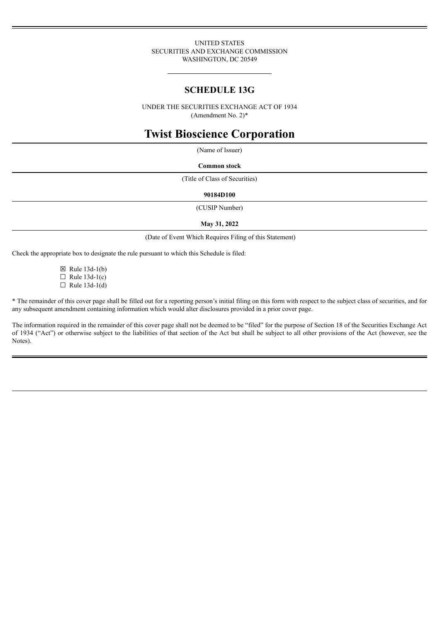#### UNITED STATES SECURITIES AND EXCHANGE COMMISSION WASHINGTON, DC 20549

# **SCHEDULE 13G**

UNDER THE SECURITIES EXCHANGE ACT OF 1934 (Amendment No. 2)\*

# **Twist Bioscience Corporation**

(Name of Issuer)

**Common stock**

(Title of Class of Securities)

#### **90184D100**

(CUSIP Number)

#### **May 31, 2022**

(Date of Event Which Requires Filing of this Statement)

Check the appropriate box to designate the rule pursuant to which this Schedule is filed:

 $\boxtimes$  Rule 13d-1(b)  $\Box$  Rule 13d-1(c)  $\Box$  Rule 13d-1(d)

\* The remainder of this cover page shall be filled out for a reporting person's initial filing on this form with respect to the subject class of securities, and for any subsequent amendment containing information which would alter disclosures provided in a prior cover page.

The information required in the remainder of this cover page shall not be deemed to be "filed" for the purpose of Section 18 of the Securities Exchange Act of 1934 ("Act") or otherwise subject to the liabilities of that section of the Act but shall be subject to all other provisions of the Act (however, see the Notes).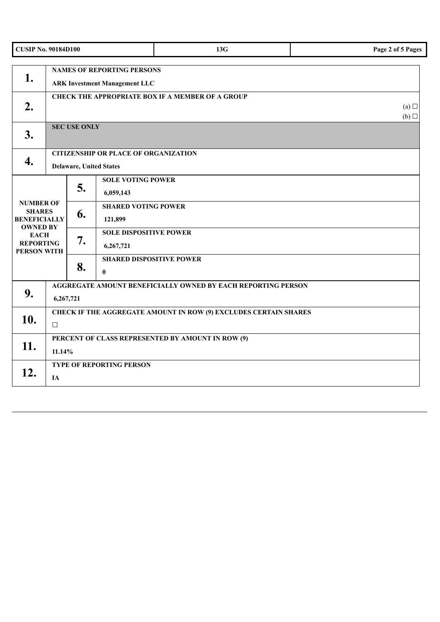| <b>CUSIP No. 90184D100</b>                                                  |                                                                                   |    |                                                 | 13G | Page 2 of 5 Pages |  |  |
|-----------------------------------------------------------------------------|-----------------------------------------------------------------------------------|----|-------------------------------------------------|-----|-------------------|--|--|
| 1.                                                                          | <b>NAMES OF REPORTING PERSONS</b><br><b>ARK Investment Management LLC</b>         |    |                                                 |     |                   |  |  |
| 2.                                                                          | <b>CHECK THE APPROPRIATE BOX IF A MEMBER OF A GROUP</b><br>(a)<br>(b)             |    |                                                 |     |                   |  |  |
| 3.                                                                          | <b>SEC USE ONLY</b>                                                               |    |                                                 |     |                   |  |  |
| 4.                                                                          | <b>CITIZENSHIP OR PLACE OF ORGANIZATION</b><br><b>Delaware, United States</b>     |    |                                                 |     |                   |  |  |
|                                                                             |                                                                                   | 5. | <b>SOLE VOTING POWER</b><br>6,059,143           |     |                   |  |  |
| <b>NUMBER OF</b><br><b>SHARES</b><br><b>BENEFICIALLY</b><br><b>OWNED BY</b> |                                                                                   | 6. | <b>SHARED VOTING POWER</b><br>121,899           |     |                   |  |  |
| <b>EACH</b><br><b>REPORTING</b><br>PERSON WITH                              |                                                                                   | 7. | <b>SOLE DISPOSITIVE POWER</b><br>6,267,721      |     |                   |  |  |
|                                                                             |                                                                                   | 8. | <b>SHARED DISPOSITIVE POWER</b><br>$\mathbf{0}$ |     |                   |  |  |
| 9.                                                                          | AGGREGATE AMOUNT BENEFICIALLY OWNED BY EACH REPORTING PERSON<br>6,267,721         |    |                                                 |     |                   |  |  |
| 10.                                                                         | <b>CHECK IF THE AGGREGATE AMOUNT IN ROW (9) EXCLUDES CERTAIN SHARES</b><br>$\Box$ |    |                                                 |     |                   |  |  |
| 11.                                                                         | PERCENT OF CLASS REPRESENTED BY AMOUNT IN ROW (9)<br>11.14%                       |    |                                                 |     |                   |  |  |
| 12.                                                                         | TYPE OF REPORTING PERSON<br>IA                                                    |    |                                                 |     |                   |  |  |

 $\overline{\phantom{a}}$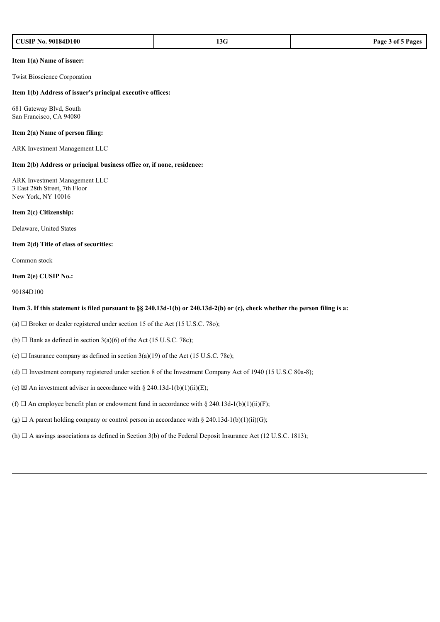| <b>CUSIP No. 90184D100</b><br>$c = n$<br>13G<br>Page 3 of 5<br>$ -$ |
|---------------------------------------------------------------------|
|---------------------------------------------------------------------|

#### **Item 1(a) Name of issuer:**

Twist Bioscience Corporation

#### **Item 1(b) Address of issuer's principal executive offices:**

681 Gateway Blvd, South San Francisco, CA 94080

#### **Item 2(a) Name of person filing:**

ARK Investment Management LLC

#### **Item 2(b) Address or principal business office or, if none, residence:**

ARK Investment Management LLC 3 East 28th Street, 7th Floor New York, NY 10016

#### **Item 2(c) Citizenship:**

Delaware, United States

#### **Item 2(d) Title of class of securities:**

Common stock

#### **Item 2(e) CUSIP No.:**

90184D100

#### Item 3. If this statement is filed pursuant to §§ 240.13d-1(b) or 240.13d-2(b) or (c), check whether the person filing is a:

- (a)  $\Box$  Broker or dealer registered under section 15 of the Act (15 U.S.C. 780);
- (b)  $\Box$  Bank as defined in section 3(a)(6) of the Act (15 U.S.C. 78c);
- (c)  $\Box$  Insurance company as defined in section 3(a)(19) of the Act (15 U.S.C. 78c);
- (d)  $\Box$  Investment company registered under section 8 of the Investment Company Act of 1940 (15 U.S.C 80a-8);
- (e)  $\boxtimes$  An investment adviser in accordance with § 240.13d-1(b)(1)(ii)(E);
- (f)  $\Box$  An employee benefit plan or endowment fund in accordance with § 240.13d-1(b)(1)(ii)(F);
- (g)  $\Box$  A parent holding company or control person in accordance with § 240.13d-1(b)(1)(ii)(G);
- (h)  $\Box$  A savings associations as defined in Section 3(b) of the Federal Deposit Insurance Act (12 U.S.C. 1813);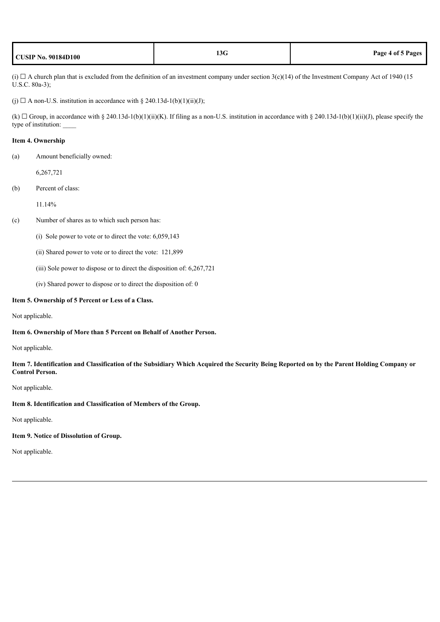| <b>CUSIP No. 90184D100</b> | 13G | Page 4 of 5 Pages |
|----------------------------|-----|-------------------|
|----------------------------|-----|-------------------|

(i)  $\Box$  A church plan that is excluded from the definition of an investment company under section 3(c)(14) of the Investment Company Act of 1940 (15) U.S.C. 80a-3);

(j)  $\Box$  A non-U.S. institution in accordance with § 240.13d-1(b)(1)(ii)(J);

(k)  $\Box$  Group, in accordance with § 240.13d-1(b)(1)(ii)(K). If filing as a non-U.S. institution in accordance with § 240.13d-1(b)(1)(ii)(J), please specify the type of institution: \_\_\_\_

#### **Item 4. Ownership**

(a) Amount beneficially owned:

6,267,721

(b) Percent of class:

11.14%

(c) Number of shares as to which such person has:

- (i) Sole power to vote or to direct the vote: 6,059,143
- (ii) Shared power to vote or to direct the vote: 121,899
- (iii) Sole power to dispose or to direct the disposition of: 6,267,721
- (iv) Shared power to dispose or to direct the disposition of: 0

#### **Item 5. Ownership of 5 Percent or Less of a Class.**

Not applicable.

## **Item 6. Ownership of More than 5 Percent on Behalf of Another Person.**

Not applicable.

Item 7. Identification and Classification of the Subsidiary Which Acquired the Security Being Reported on by the Parent Holding Company or **Control Person.**

## Not applicable.

#### **Item 8. Identification and Classification of Members of the Group.**

Not applicable.

## **Item 9. Notice of Dissolution of Group.**

Not applicable.